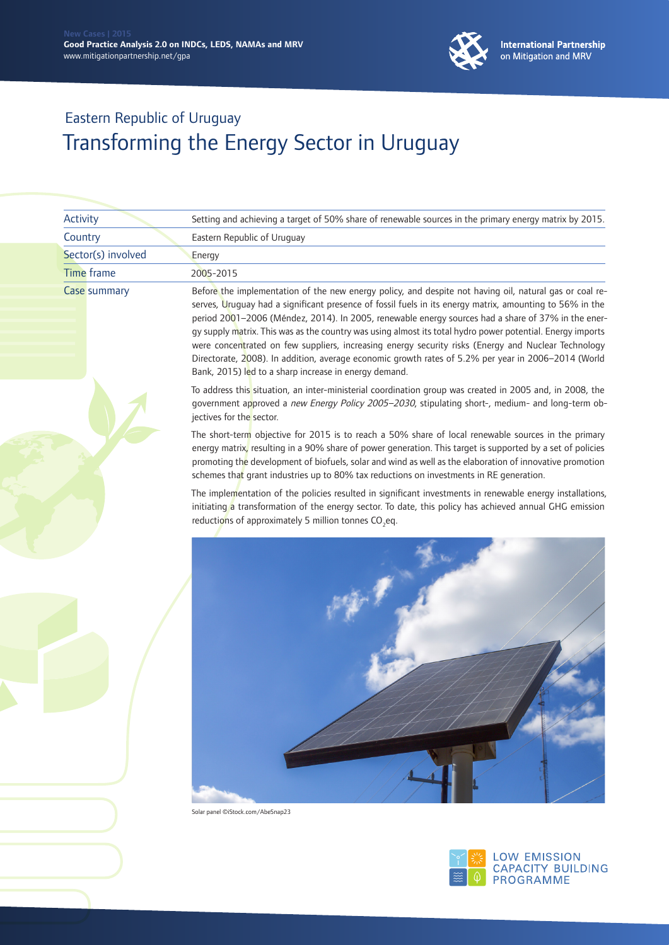

| Activity           | Setting and achieving a target of 50% share of renewable sources in the primary energy matrix by 2015.                                                                                                                                                                                                                                                                                                                                                                                                                                                                                                                                                                                                         |
|--------------------|----------------------------------------------------------------------------------------------------------------------------------------------------------------------------------------------------------------------------------------------------------------------------------------------------------------------------------------------------------------------------------------------------------------------------------------------------------------------------------------------------------------------------------------------------------------------------------------------------------------------------------------------------------------------------------------------------------------|
| Country            | Eastern Republic of Uruguay                                                                                                                                                                                                                                                                                                                                                                                                                                                                                                                                                                                                                                                                                    |
| Sector(s) involved | Energy                                                                                                                                                                                                                                                                                                                                                                                                                                                                                                                                                                                                                                                                                                         |
| <b>Time frame</b>  | 2005-2015                                                                                                                                                                                                                                                                                                                                                                                                                                                                                                                                                                                                                                                                                                      |
| Case summary       | Before the implementation of the new energy policy, and despite not having oil, natural gas or coal re-<br>serves, Uruguay had a significant presence of fossil fuels in its energy matrix, amounting to 56% in the<br>period 2001-2006 (Méndez, 2014). In 2005, renewable energy sources had a share of 37% in the ener-<br>gy supply matrix. This was as the country was using almost its total hydro power potential. Energy imports<br>were concentrated on few suppliers, increasing energy security risks (Energy and Nuclear Technology<br>Directorate, 2008). In addition, average economic growth rates of 5.2% per year in 2006-2014 (World<br>Bank, 2015) led to a sharp increase in energy demand. |
|                    | To address this situation, an inter-ministerial coordination group was created in 2005 and, in 2008, the<br>government approved a new Energy Policy 2005-2030, stipulating short-, medium- and long-term ob-<br>jectives for the sector.                                                                                                                                                                                                                                                                                                                                                                                                                                                                       |
|                    | The short-term objective for 2015 is to reach a 50% share of local renewable sources in the primary<br>energy matrix, resulting in a 90% share of power generation. This target is supported by a set of policies<br>promoting the development of biofuels, solar and wind as well as the elaboration of innovative promotion<br>schemes that grant industries up to 80% tax reductions on investments in RE generation.                                                                                                                                                                                                                                                                                       |
|                    | The implementation of the policies resulted in significant investments in renewable energy installations,<br>initiating a transformation of the energy sector. To date, this policy has achieved annual GHG emission<br>reductions of approximately 5 million tonnes CO <sub>2</sub> eq.                                                                                                                                                                                                                                                                                                                                                                                                                       |
|                    |                                                                                                                                                                                                                                                                                                                                                                                                                                                                                                                                                                                                                                                                                                                |
|                    | Solar panel ©iStock.com/AbeSnap23                                                                                                                                                                                                                                                                                                                                                                                                                                                                                                                                                                                                                                                                              |
|                    | <b>LOW EMISSION</b><br><b>CAPACITY BUILDING</b><br><b>PROGRAMME</b>                                                                                                                                                                                                                                                                                                                                                                                                                                                                                                                                                                                                                                            |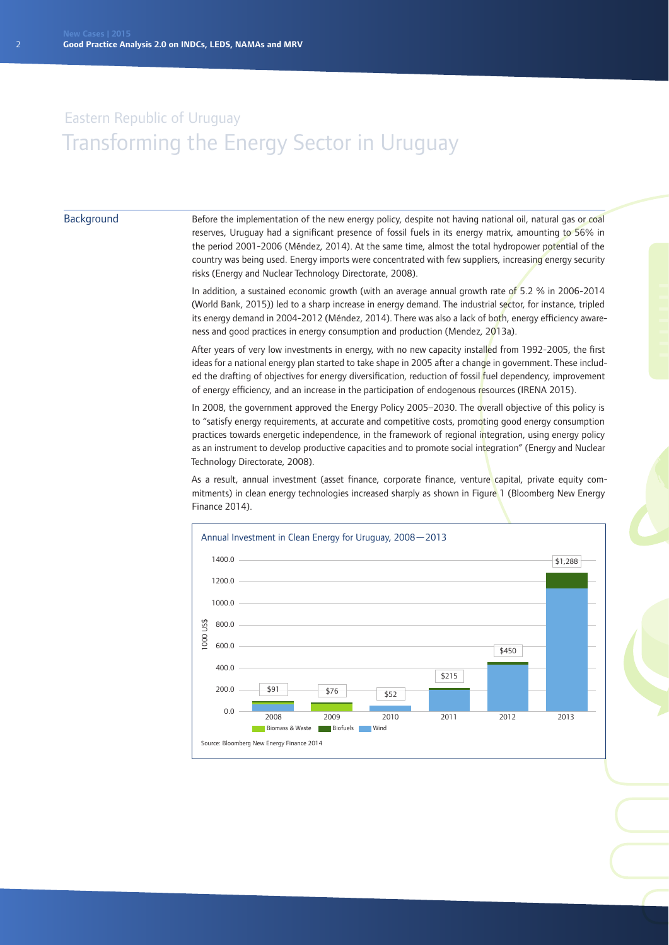### Background

Before the implementation of the new energy policy, despite not having national oil, natural gas or coal reserves, Uruguay had a significant presence of fossil fuels in its energy matrix, amounting to 56% in the period 2001-2006 (Méndez, 2014). At the same time, almost the total hydropower potential of the country was being used. Energy imports were concentrated with few suppliers, increasing energy security risks (Energy and Nuclear Technology Directorate, 2008).

In addition, a sustained economic growth (with an average annual growth rate of 5.2 % in 2006-2014 (World Bank, 2015)) led to a sharp increase in energy demand. The industrial sector, for instance, tripled its energy demand in 2004-2012 (Méndez, 2014). There was also a lack of both, energy efficiency awareness and good practices in energy consumption and production (Mendez, 2013a).

After years of very low investments in energy, with no new capacity installed from 1992-2005, the first ideas for a national energy plan started to take shape in 2005 after a change in government. These included the drafting of objectives for energy diversification, reduction of fossil fuel dependency, improvement of energy efficiency, and an increase in the participation of endogenous resources (IRENA 2015).

In 2008, the government approved the Energy Policy 2005–2030. The overall objective of this policy is to "satisfy energy requirements, at accurate and competitive costs, promoting good energy consumption practices towards energetic independence, in the framework of regional integration, using energy policy as an instrument to develop productive capacities and to promote social integration" (Energy and Nuclear Technology Directorate, 2008).

As a result, annual investment (asset finance, corporate finance, venture capital, private equity commitments) in clean energy technologies increased sharply as shown in Figure 1 (Bloomberg New Energy Finance 2014).

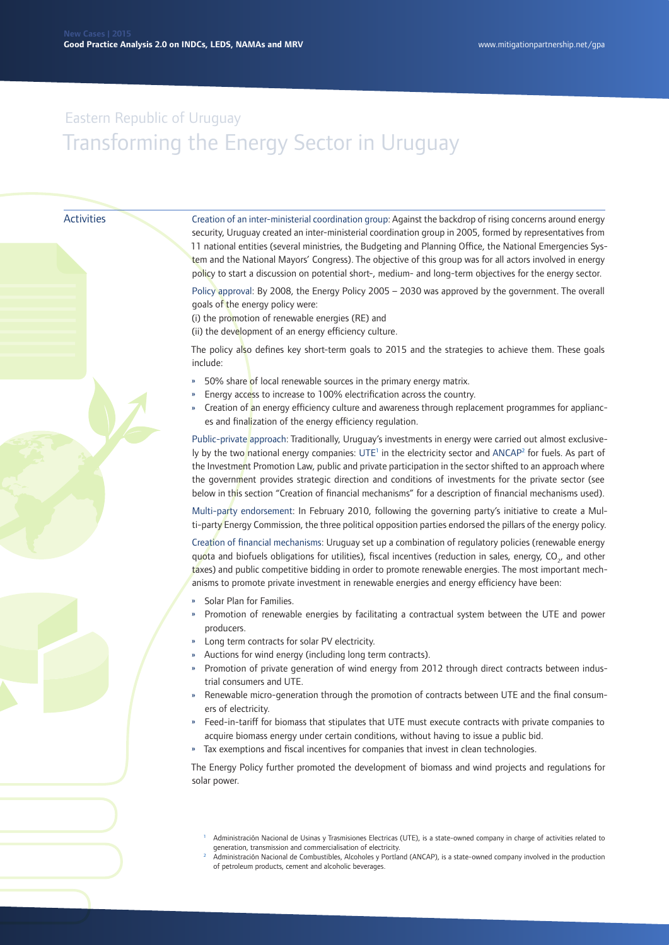#### Activities

Creation of an inter-ministerial coordination group: Against the backdrop of rising concerns around energy security, Uruguay created an inter-ministerial coordination group in 2005, formed by representatives from 11 national entities (several ministries, the Budgeting and Planning Office, the National Emergencies System and the National Mayors' Congress). The objective of this group was for all actors involved in energy policy to start a discussion on potential short-, medium- and long-term objectives for the energy sector.

Policy approval: By 2008, the Energy Policy 2005 – 2030 was approved by the government. The overall goals of the energy policy were:

(i) the promotion of renewable energies (RE) and

(ii) the development of an energy efficiency culture.

The policy also defines key short-term goals to 2015 and the strategies to achieve them. These goals include:

- 50% share of local renewable sources in the primary energy matrix.
- Energy access to increase to 100% electrification across the country.
- » Creation of an energy efficiency culture and awareness through replacement programmes for appliances and finalization of the energy efficiency regulation.

Public-private approach: Traditionally, Uruguay's investments in energy were carried out almost exclusively by the two national energy companies: UTE<sup>1</sup> in the electricity sector and ANCAP<sup>2</sup> for fuels. As part of the Investment Promotion Law, public and private participation in the sector shifted to an approach where the government provides strategic direction and conditions of investments for the private sector (see below in this section "Creation of financial mechanisms" for a description of financial mechanisms used).

Multi-party endorsement: In February 2010, following the governing party's initiative to create a Multi-party Energy Commission, the three political opposition parties endorsed the pillars of the energy policy.

Creation of financial mechanisms: Uruguay set up a combination of regulatory policies (renewable energy quota and biofuels obligations for utilities), fiscal incentives (reduction in sales, energy, CO<sub>2</sub>, and other taxes) and public competitive bidding in order to promote renewable energies. The most important mechanisms to promote private investment in renewable energies and energy efficiency have been:

- » Solar Plan for Families.
- » Promotion of renewable energies by facilitating a contractual system between the UTE and power producers.
- » Long term contracts for solar PV electricity.
- » Auctions for wind energy (including long term contracts).
- » Promotion of private generation of wind energy from 2012 through direct contracts between industrial consumers and UTE.
- » Renewable micro-generation through the promotion of contracts between UTE and the final consumers of electricity.
- » Feed-in-tariff for biomass that stipulates that UTE must execute contracts with private companies to acquire biomass energy under certain conditions, without having to issue a public bid.
- » Tax exemptions and fiscal incentives for companies that invest in clean technologies.

The Energy Policy further promoted the development of biomass and wind projects and regulations for solar power.

- <sup>1</sup> Administración Nacional de Usinas y Trasmisiones Electricas (UTE), is a state-owned company in charge of activities related to generation, transmission and commercialisation of electricity.
- <sup>2</sup> Administración Nacional de Combustibles, Alcoholes y Portland (ANCAP), is a state-owned company involved in the production of petroleum products, cement and alcoholic beverages.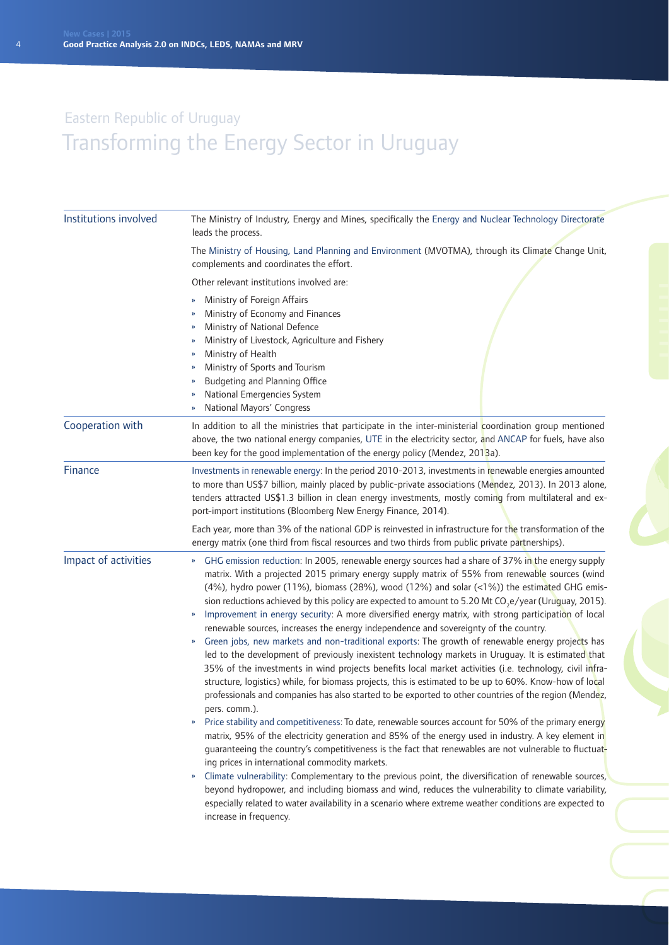| Institutions involved | The Ministry of Industry, Energy and Mines, specifically the Energy and Nuclear Technology Directorate<br>leads the process.                                                                                                                                                                                                                                                                                                                                                                                                                                                                                                                                                                                                                                                                                                                                                                                                                                                                                                                                                                                                                                                                                                                                                                                                                                                                                                                                                                                                                                                                                                                                                                                                                                                                                                                                                                                                                                                                    |
|-----------------------|-------------------------------------------------------------------------------------------------------------------------------------------------------------------------------------------------------------------------------------------------------------------------------------------------------------------------------------------------------------------------------------------------------------------------------------------------------------------------------------------------------------------------------------------------------------------------------------------------------------------------------------------------------------------------------------------------------------------------------------------------------------------------------------------------------------------------------------------------------------------------------------------------------------------------------------------------------------------------------------------------------------------------------------------------------------------------------------------------------------------------------------------------------------------------------------------------------------------------------------------------------------------------------------------------------------------------------------------------------------------------------------------------------------------------------------------------------------------------------------------------------------------------------------------------------------------------------------------------------------------------------------------------------------------------------------------------------------------------------------------------------------------------------------------------------------------------------------------------------------------------------------------------------------------------------------------------------------------------------------------------|
|                       | The Ministry of Housing, Land Planning and Environment (MVOTMA), through its Climate Change Unit,<br>complements and coordinates the effort.                                                                                                                                                                                                                                                                                                                                                                                                                                                                                                                                                                                                                                                                                                                                                                                                                                                                                                                                                                                                                                                                                                                                                                                                                                                                                                                                                                                                                                                                                                                                                                                                                                                                                                                                                                                                                                                    |
|                       | Other relevant institutions involved are:                                                                                                                                                                                                                                                                                                                                                                                                                                                                                                                                                                                                                                                                                                                                                                                                                                                                                                                                                                                                                                                                                                                                                                                                                                                                                                                                                                                                                                                                                                                                                                                                                                                                                                                                                                                                                                                                                                                                                       |
|                       | Ministry of Foreign Affairs<br>»<br>Ministry of Economy and Finances<br>Ministry of National Defence<br>Ministry of Livestock, Agriculture and Fishery<br>Ministry of Health<br>»<br>Ministry of Sports and Tourism<br>»<br>Budgeting and Planning Office<br>»<br>National Emergencies System<br>National Mayors' Congress<br>»                                                                                                                                                                                                                                                                                                                                                                                                                                                                                                                                                                                                                                                                                                                                                                                                                                                                                                                                                                                                                                                                                                                                                                                                                                                                                                                                                                                                                                                                                                                                                                                                                                                                 |
| Cooperation with      | In addition to all the ministries that participate in the inter-ministerial coordination group mentioned<br>above, the two national energy companies, UTE in the electricity sector, and ANCAP for fuels, have also<br>been key for the good implementation of the energy policy (Mendez, 2013a).                                                                                                                                                                                                                                                                                                                                                                                                                                                                                                                                                                                                                                                                                                                                                                                                                                                                                                                                                                                                                                                                                                                                                                                                                                                                                                                                                                                                                                                                                                                                                                                                                                                                                               |
| Finance               | Investments in renewable energy: In the period 2010-2013, investments in renewable energies amounted<br>to more than US\$7 billion, mainly placed by public-private associations (Mendez, 2013). In 2013 alone,<br>tenders attracted US\$1.3 billion in clean energy investments, mostly coming from multilateral and ex-<br>port-import institutions (Bloomberg New Energy Finance, 2014).                                                                                                                                                                                                                                                                                                                                                                                                                                                                                                                                                                                                                                                                                                                                                                                                                                                                                                                                                                                                                                                                                                                                                                                                                                                                                                                                                                                                                                                                                                                                                                                                     |
|                       | Each year, more than 3% of the national GDP is reinvested in infrastructure for the transformation of the<br>energy matrix (one third from fiscal resources and two thirds from public private partnerships).                                                                                                                                                                                                                                                                                                                                                                                                                                                                                                                                                                                                                                                                                                                                                                                                                                                                                                                                                                                                                                                                                                                                                                                                                                                                                                                                                                                                                                                                                                                                                                                                                                                                                                                                                                                   |
| Impact of activities  | GHG emission reduction: In 2005, renewable energy sources had a share of 37% in the energy supply<br>$\mathbf{v}$<br>matrix. With a projected 2015 primary energy supply matrix of 55% from renewable sources (wind<br>(4%), hydro power (11%), biomass (28%), wood (12%) and solar (<1%)) the estimated GHG emis-<br>sion reductions achieved by this policy are expected to amount to 5.20 Mt CO <sub>2</sub> e/year (Uruguay, 2015).<br>Improvement in energy security: A more diversified energy matrix, with strong participation of local<br>$\boldsymbol{\mathcal{Y}}$<br>renewable sources, increases the energy independence and sovereignty of the country.<br>Green jobs, new markets and non-traditional exports: The growth of renewable energy projects has<br>led to the development of previously inexistent technology markets in Uruguay. It is estimated that<br>35% of the investments in wind projects benefits local market activities (i.e. technology, civil infra-<br>structure, logistics) while, for biomass projects, this is estimated to be up to 60%. Know-how of local<br>professionals and companies has also started to be exported to other countries of the region (Mendez,<br>pers. comm.).<br>Price stability and competitiveness: To date, renewable sources account for 50% of the primary energy<br>matrix, 95% of the electricity generation and 85% of the energy used in industry. A key element in<br>guaranteeing the country's competitiveness is the fact that renewables are not vulnerable to fluctuat-<br>ing prices in international commodity markets.<br>Climate vulnerability: Complementary to the previous point, the diversification of renewable sources,<br>$\boldsymbol{\mathcal{Y}}$<br>beyond hydropower, and including biomass and wind, reduces the vulnerability to climate variability,<br>especially related to water availability in a scenario where extreme weather conditions are expected to<br>increase in frequency. |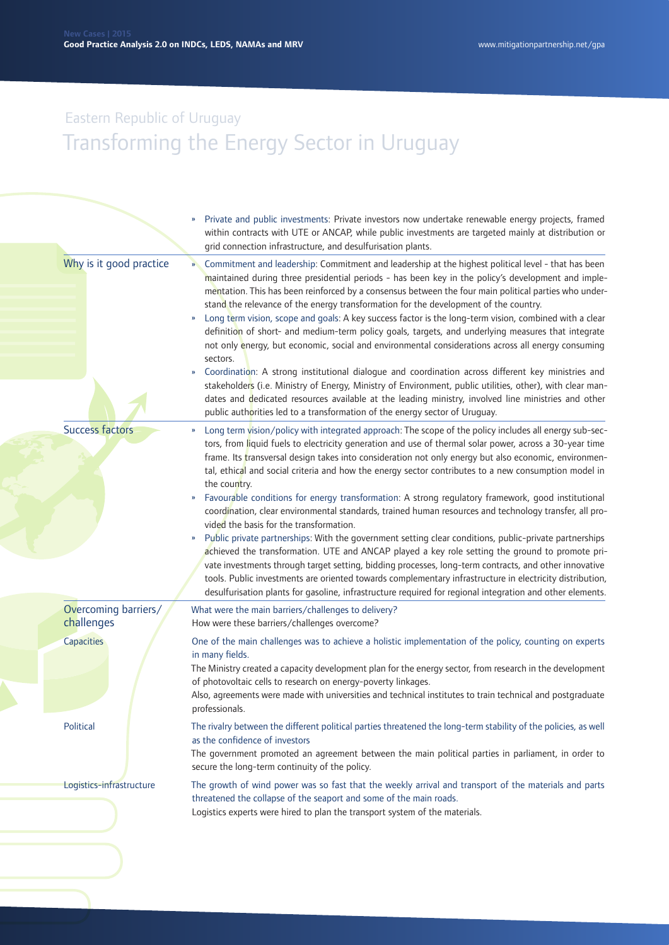|                                    | Private and public investments: Private investors now undertake renewable energy projects, framed<br>within contracts with UTE or ANCAP, while public investments are targeted mainly at distribution or<br>grid connection infrastructure, and desulfurisation plants.                                                                                                                                                                                                                                                                                                                                                                                                                                                                                                                                                                                                                                                                                                                                                                                                                                                                                                                                                                                                     |
|------------------------------------|-----------------------------------------------------------------------------------------------------------------------------------------------------------------------------------------------------------------------------------------------------------------------------------------------------------------------------------------------------------------------------------------------------------------------------------------------------------------------------------------------------------------------------------------------------------------------------------------------------------------------------------------------------------------------------------------------------------------------------------------------------------------------------------------------------------------------------------------------------------------------------------------------------------------------------------------------------------------------------------------------------------------------------------------------------------------------------------------------------------------------------------------------------------------------------------------------------------------------------------------------------------------------------|
| Why is it good practice            | Commitment and leadership: Commitment and leadership at the highest political level - that has been<br>$\mathbf{v}$<br>maintained during three presidential periods - has been key in the policy's development and imple-<br>mentation. This has been reinforced by a consensus between the four main political parties who under-<br>stand the relevance of the energy transformation for the development of the country.<br>Long term vision, scope and goals: A key success factor is the long-term vision, combined with a clear<br>$\boldsymbol{\mathcal{V}}$<br>definition of short- and medium-term policy goals, targets, and underlying measures that integrate<br>not only energy, but economic, social and environmental considerations across all energy consuming<br>sectors.<br>Coordination: A strong institutional dialogue and coordination across different key ministries and<br>»<br>stakeholders (i.e. Ministry of Energy, Ministry of Environment, public utilities, other), with clear man-<br>dates and dedicated resources available at the leading ministry, involved line ministries and other<br>public authorities led to a transformation of the energy sector of Uruguay.                                                                    |
| <b>Success factors</b>             | Long term vision/policy with integrated approach: The scope of the policy includes all energy sub-sec-<br>»<br>tors, from liquid fuels to electricity generation and use of thermal solar power, across a 30-year time<br>frame. Its transversal design takes into consideration not only energy but also economic, environmen-<br>tal, ethical and social criteria and how the energy sector contributes to a new consumption model in<br>the country.<br>Favourable conditions for energy transformation: A strong regulatory framework, good institutional<br>»<br>coordination, clear environmental standards, trained human resources and technology transfer, all pro-<br>vided the basis for the transformation.<br>Public private partnerships: With the government setting clear conditions, public-private partnerships<br>»<br>achieved the transformation. UTE and ANCAP played a key role setting the ground to promote pri-<br>vate investments through target setting, bidding processes, long-term contracts, and other innovative<br>tools. Public investments are oriented towards complementary infrastructure in electricity distribution,<br>desulfurisation plants for gasoline, infrastructure required for regional integration and other elements. |
| Overcoming barriers/<br>challenges | What were the main barriers/challenges to delivery?<br>How were these barriers/challenges overcome?                                                                                                                                                                                                                                                                                                                                                                                                                                                                                                                                                                                                                                                                                                                                                                                                                                                                                                                                                                                                                                                                                                                                                                         |
| <b>Capacities</b>                  | One of the main challenges was to achieve a holistic implementation of the policy, counting on experts<br>in many fields.<br>The Ministry created a capacity development plan for the energy sector, from research in the development<br>of photovoltaic cells to research on energy-poverty linkages.<br>Also, agreements were made with universities and technical institutes to train technical and postgraduate<br>professionals.                                                                                                                                                                                                                                                                                                                                                                                                                                                                                                                                                                                                                                                                                                                                                                                                                                       |
| Political                          | The rivalry between the different political parties threatened the long-term stability of the policies, as well<br>as the confidence of investors<br>The government promoted an agreement between the main political parties in parliament, in order to<br>secure the long-term continuity of the policy.                                                                                                                                                                                                                                                                                                                                                                                                                                                                                                                                                                                                                                                                                                                                                                                                                                                                                                                                                                   |
| Logistics-infrastructure           | The growth of wind power was so fast that the weekly arrival and transport of the materials and parts<br>threatened the collapse of the seaport and some of the main roads.<br>Logistics experts were hired to plan the transport system of the materials.                                                                                                                                                                                                                                                                                                                                                                                                                                                                                                                                                                                                                                                                                                                                                                                                                                                                                                                                                                                                                  |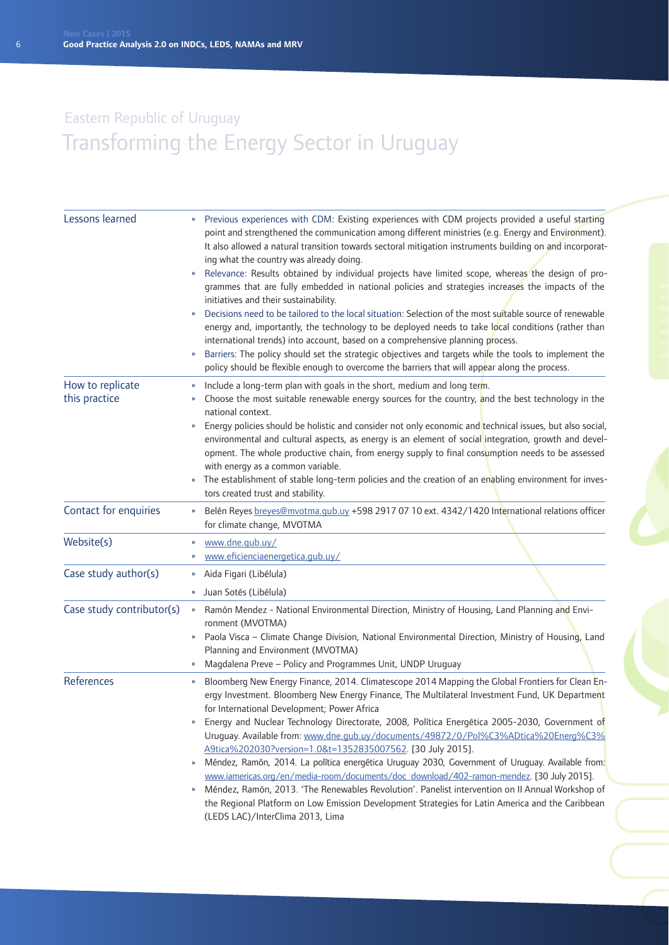| Lessons learned                   | Previous experiences with CDM: Existing experiences with CDM projects provided a useful starting<br>$\boldsymbol{\mathcal{V}}$<br>point and strengthened the communication among different ministries (e.g. Energy and Environment).<br>It also allowed a natural transition towards sectoral mitigation instruments building on and incorporat-<br>ing what the country was already doing.<br>Relevance: Results obtained by individual projects have limited scope, whereas the design of pro-<br>grammes that are fully embedded in national policies and strategies increases the impacts of the<br>initiatives and their sustainability.<br>Decisions need to be tailored to the local situation: Selection of the most suitable source of renewable<br>energy and, importantly, the technology to be deployed needs to take local conditions (rather than<br>international trends) into account, based on a comprehensive planning process.<br>Barriers: The policy should set the strategic objectives and targets while the tools to implement the<br>policy should be flexible enough to overcome the barriers that will appear along the process. |
|-----------------------------------|-------------------------------------------------------------------------------------------------------------------------------------------------------------------------------------------------------------------------------------------------------------------------------------------------------------------------------------------------------------------------------------------------------------------------------------------------------------------------------------------------------------------------------------------------------------------------------------------------------------------------------------------------------------------------------------------------------------------------------------------------------------------------------------------------------------------------------------------------------------------------------------------------------------------------------------------------------------------------------------------------------------------------------------------------------------------------------------------------------------------------------------------------------------|
| How to replicate<br>this practice | Include a long-term plan with goals in the short, medium and long term.<br>»<br>Choose the most suitable renewable energy sources for the country, and the best technology in the<br>»<br>national context.<br>Energy policies should be holistic and consider not only economic and technical issues, but also social,<br>»<br>environmental and cultural aspects, as energy is an element of social integration, growth and devel-<br>opment. The whole productive chain, from energy supply to final consumption needs to be assessed<br>with energy as a common variable.<br>The establishment of stable long-term policies and the creation of an enabling environment for inves-<br>»<br>tors created trust and stability.                                                                                                                                                                                                                                                                                                                                                                                                                            |
| Contact for enquiries             | Belén Reyes breyes@mvotma.qub.uy +598 2917 07 10 ext. 4342/1420 International relations officer<br>$\boldsymbol{\mathcal{V}}$<br>for climate change, MVOTMA                                                                                                                                                                                                                                                                                                                                                                                                                                                                                                                                                                                                                                                                                                                                                                                                                                                                                                                                                                                                 |
| Website(s)                        | www.dne.gub.uy/<br>www.eficienciaenergetica.gub.uy/<br>»                                                                                                                                                                                                                                                                                                                                                                                                                                                                                                                                                                                                                                                                                                                                                                                                                                                                                                                                                                                                                                                                                                    |
| Case study author(s)              | Aida Figari (Libélula)<br>»<br>Juan Sotés (Libélula)<br>»                                                                                                                                                                                                                                                                                                                                                                                                                                                                                                                                                                                                                                                                                                                                                                                                                                                                                                                                                                                                                                                                                                   |
| Case study contributor(s)         | Ramón Mendez - National Environmental Direction, Ministry of Housing, Land Planning and Envi-<br>$\boldsymbol{\mathcal{V}}$<br>ronment (MVOTMA)<br>Paola Visca - Climate Change Division, National Environmental Direction, Ministry of Housing, Land<br>$\boldsymbol{\mathcal{Y}}$<br>Planning and Environment (MVOTMA)<br>Magdalena Preve - Policy and Programmes Unit, UNDP Uruguay                                                                                                                                                                                                                                                                                                                                                                                                                                                                                                                                                                                                                                                                                                                                                                      |
| References                        | Bloomberg New Energy Finance, 2014. Climatescope 2014 Mapping the Global Frontiers for Clean En-<br>»<br>ergy Investment. Bloomberg New Energy Finance, The Multilateral Investment Fund, UK Department<br>for International Development; Power Africa<br>Energy and Nuclear Technology Directorate, 2008, Política Energética 2005-2030, Government of<br>Uruguay. Available from: www.dne.gub.uy/documents/49872/0/Pol%C3%ADtica%20Energ%C3%<br>A9tica%202030?version=1.0&t=1352835007562. [30 July 2015].<br>Méndez, Ramón, 2014. La política energética Uruguay 2030, Government of Uruguay. Available from:<br>»<br>www.iamericas.org/en/media-room/documents/doc_download/402-ramon-mendez. [30 July 2015].<br>Méndez, Ramón, 2013. 'The Renewables Revolution'. Panelist intervention on II Annual Workshop of<br>»<br>the Regional Platform on Low Emission Development Strategies for Latin America and the Caribbean<br>(LEDS LAC)/InterClima 2013, Lima                                                                                                                                                                                          |